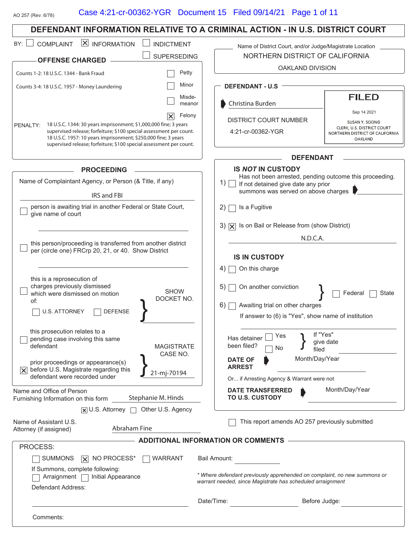#### Case 4:21-cr-00362-YGR Document 15 Filed 09/14/21 Page 1 of 11AO 257 (Rev. 6/78) **DEFENDANT INFORMATION RELATIVE TO A CRIMINAL ACTION - IN U.S. DISTRICT COURT**  $BY:$  COMPLAINT  $X$  INFORMATION INDICTMENT Name of District Court, and/or Judge/Magistrate Location  $\Box$  SUPERSEDING NORTHERN DISTRICT OF CALIFORNIA **OFFENSE CHARGED** OAKLAND DIVISION Petty Counts 1-2: 18 U.S.C. 1344 - Bank Fraud Minor **DEFENDANT - U.S** Counts 3-4: 18 U.S.C. 1957 - Money Laundering Misde-**-** Christina Burden meanor Sep 14 2021 Felony  $|\times|$ DISTRICT COURT NUMBER SUSAN Y. SOONG PENALTY: 18 U.S.C. 1344: 30 years imprisonment; \$1,000,000 fine; 3 years CLERK, U.S. DISTRICT COURT supervised release; forfeiture; \$100 special assessment per count. 4:21-cr-00362-YGR NORTHERN DISTRICT OF CALIFORNIA 18 U.S.C. 1957: 10 years imprisonment; \$250,000 fine; 3 years **OAKLAND** supervised release; forfeiture; \$100 special assessment per count. **DEFENDANT IS** *NOT* **IN CUSTODY PROCEEDING** Has not been arrested, pending outcome this proceeding. Name of Complaintant Agency, or Person (& Title, if any) 1) **If not detained give date any prior** summons was served on above charges IRS and FBI person is awaiting trial in another Federal or State Court,  $2)$  Is a Fugitive give name of court 3)  $\overline{X}$  Is on Bail or Release from (show District) N.D.C.A. this person/proceeding is transferred from another district per (circle one) FRCrp 20, 21, or 40. Show District **IS IN CUSTODY**  $4)$  On this charge this is a reprosecution of charges previously dismissed 5)  $\Box$  On another conviction SHOW 1 Federal □ State which were dismissed on motion DOCKET NO. of:  $6)$   $\Box$  Awaiting trial on other charges  $\Box$  U.S. ATTORNEY  $\Box$  DEFENSE If answer to (6) is "Yes", show name of institution this prosecution relates to a Yes } If "Yes"<br>No } give da Has detainer □ Yes  $\Box$  pending case involving this same give date been filed? defendant MAGISTRATE filed  $\sum_{21 \text{-mj-70194}}^{CASE NO.}$ **DATE OF ARREST** Month/Day/Year prior proceedings or appearance(s)  $\overline{X}$  before U.S. Magistrate regarding this defendant were recorded under Or... if Arresting Agency & Warrant were not Month/Day/Year **DATE TRANSFERRED TO U.S. CUSTODY** Name and Office of Person Stephanie M. Hinds Furnishing Information on this form  $\overline{x}$  U.S. Attorney  $\Box$  Other U.S. Agency Name of Assistant U.S. This report amends AO 257 previously submitted Abraham Fine Attorney (if assigned) **ADDITIONAL INFORMATION OR COMMENTS** PROCESS:  $\Box$  SUMMONS  $\Box$  NO PROCESS<sup>\*</sup>  $\Box$  WARRANT Bail Amount: If Summons, complete following: *\* Where defendant previously apprehended on complaint, no new summons or*  $\Box$  Arraignment  $\Box$  Initial Appearance

Defendant Address:

Comments:

Date/Time: Before Judge:

*warrant needed, since Magistrate has scheduled arraignment*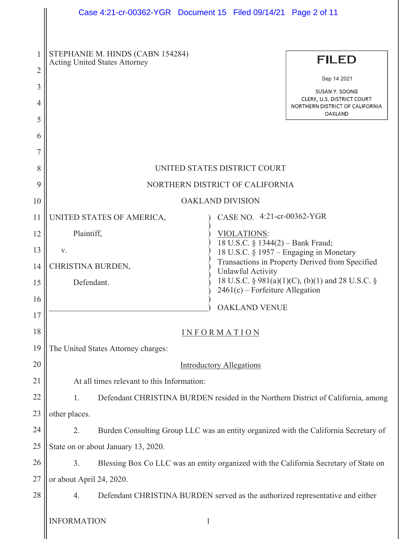|                | Case 4:21-cr-00362-YGR  Document 15  Filed 09/14/21  Page 2 of 11                                   |                                                                                                          |  |  |  |
|----------------|-----------------------------------------------------------------------------------------------------|----------------------------------------------------------------------------------------------------------|--|--|--|
|                |                                                                                                     |                                                                                                          |  |  |  |
| 1              | STEPHANIE M. HINDS (CABN 154284)                                                                    |                                                                                                          |  |  |  |
| $\overline{2}$ | <b>Acting United States Attorney</b>                                                                | <b>FILED</b>                                                                                             |  |  |  |
| 3              |                                                                                                     | Sep 14 2021                                                                                              |  |  |  |
| 4              |                                                                                                     | <b>SUSAN Y. SOONG</b><br>CLERK, U.S. DISTRICT COURT<br>NORTHERN DISTRICT OF CALIFORNIA<br><b>OAKLAND</b> |  |  |  |
| 5              |                                                                                                     |                                                                                                          |  |  |  |
| 6              |                                                                                                     |                                                                                                          |  |  |  |
| 7<br>8         | UNITED STATES DISTRICT COURT                                                                        |                                                                                                          |  |  |  |
| 9              | NORTHERN DISTRICT OF CALIFORNIA                                                                     |                                                                                                          |  |  |  |
| 10             | <b>OAKLAND DIVISION</b>                                                                             |                                                                                                          |  |  |  |
| 11             | UNITED STATES OF AMERICA,                                                                           | CASE NO. 4:21-cr-00362-YGR                                                                               |  |  |  |
| 12             | Plaintiff,<br>VIOLATIONS:                                                                           |                                                                                                          |  |  |  |
| 13             | V.                                                                                                  | 18 U.S.C. § 1344(2) - Bank Fraud;<br>18 U.S.C. § 1957 – Engaging in Monetary                             |  |  |  |
| 14             | CHRISTINA BURDEN,<br><b>Unlawful Activity</b>                                                       | Transactions in Property Derived from Specified                                                          |  |  |  |
| 15             | 18 U.S.C. § 981(a)(1)(C), (b)(1) and 28 U.S.C. §<br>Defendant.<br>$2461(c)$ – Forfeiture Allegation |                                                                                                          |  |  |  |
| 16             |                                                                                                     |                                                                                                          |  |  |  |
| 17             | <b>OAKLAND VENUE</b>                                                                                |                                                                                                          |  |  |  |
| 18             | <b>INFORMATION</b>                                                                                  |                                                                                                          |  |  |  |
| 19             | The United States Attorney charges:                                                                 |                                                                                                          |  |  |  |
| 20             | <b>Introductory Allegations</b>                                                                     |                                                                                                          |  |  |  |
| 21             | At all times relevant to this Information:                                                          |                                                                                                          |  |  |  |
| 22             | 1.<br>Defendant CHRISTINA BURDEN resided in the Northern District of California, among              |                                                                                                          |  |  |  |
| 23             | other places.                                                                                       |                                                                                                          |  |  |  |
| 24             | 2.<br>Burden Consulting Group LLC was an entity organized with the California Secretary of          |                                                                                                          |  |  |  |
| 25             | State on or about January 13, 2020.                                                                 |                                                                                                          |  |  |  |
| 26             | 3.<br>Blessing Box Co LLC was an entity organized with the California Secretary of State on         |                                                                                                          |  |  |  |
| 27             | or about April 24, 2020.                                                                            |                                                                                                          |  |  |  |
| 28             | Defendant CHRISTINA BURDEN served as the authorized representative and either<br>4.                 |                                                                                                          |  |  |  |
|                | <b>INFORMATION</b><br>$\mathbf{1}$                                                                  |                                                                                                          |  |  |  |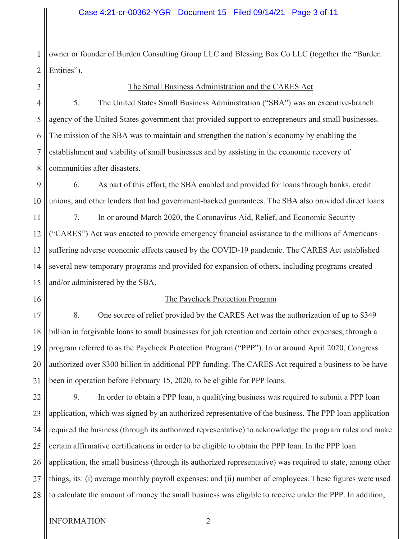1 2 owner or founder of Burden Consulting Group LLC and Blessing Box Co LLC (together the "Burden Entities").

#### The Small Business Administration and the CARES Act

7 8 5. The United States Small Business Administration ("SBA") was an executive-branch agency of the United States government that provided support to entrepreneurs and small businesses. The mission of the SBA was to maintain and strengthen the nation's economy by enabling the establishment and viability of small businesses and by assisting in the economic recovery of communities after disasters.

9 10 6. As part of this effort, the SBA enabled and provided for loans through banks, credit unions, and other lenders that had government-backed guarantees. The SBA also provided direct loans.

11 12 13 14 15 7. In or around March 2020, the Coronavirus Aid, Relief, and Economic Security ("CARES") Act was enacted to provide emergency financial assistance to the millions of Americans suffering adverse economic effects caused by the COVID-19 pandemic. The CARES Act established several new temporary programs and provided for expansion of others, including programs created and/or administered by the SBA.

16

### The Paycheck Protection Program

17 18 19 20 21 8. One source of relief provided by the CARES Act was the authorization of up to \$349 billion in forgivable loans to small businesses for job retention and certain other expenses, through a program referred to as the Paycheck Protection Program ("PPP"). In or around April 2020, Congress authorized over \$300 billion in additional PPP funding. The CARES Act required a business to be have been in operation before February 15, 2020, to be eligible for PPP loans.

22 23 24 25 26 27 28 9. In order to obtain a PPP loan, a qualifying business was required to submit a PPP loan application, which was signed by an authorized representative of the business. The PPP loan application required the business (through its authorized representative) to acknowledge the program rules and make certain affirmative certifications in order to be eligible to obtain the PPP loan. In the PPP loan application, the small business (through its authorized representative) was required to state, among other things, its: (i) average monthly payroll expenses; and (ii) number of employees. These figures were used to calculate the amount of money the small business was eligible to receive under the PPP. In addition,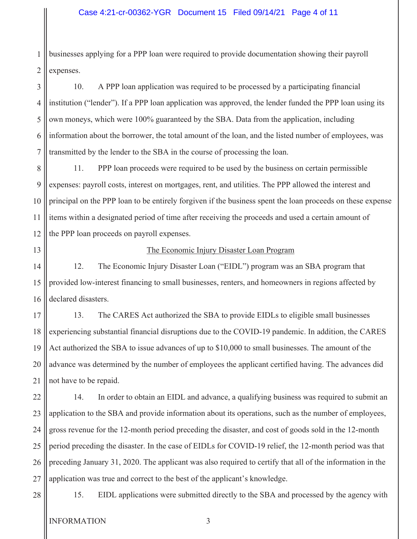1 2 businesses applying for a PPP loan were required to provide documentation showing their payroll expenses.

3 4 5 6 7 10. A PPP loan application was required to be processed by a participating financial institution ("lender"). If a PPP loan application was approved, the lender funded the PPP loan using its own moneys, which were 100% guaranteed by the SBA. Data from the application, including information about the borrower, the total amount of the loan, and the listed number of employees, was transmitted by the lender to the SBA in the course of processing the loan.

8 9 10 11 12 11. PPP loan proceeds were required to be used by the business on certain permissible expenses: payroll costs, interest on mortgages, rent, and utilities. The PPP allowed the interest and principal on the PPP loan to be entirely forgiven if the business spent the loan proceeds on these expense items within a designated period of time after receiving the proceeds and used a certain amount of the PPP loan proceeds on payroll expenses.

13

### The Economic Injury Disaster Loan Program

14 15 16 12. The Economic Injury Disaster Loan ("EIDL") program was an SBA program that provided low-interest financing to small businesses, renters, and homeowners in regions affected by declared disasters.

17 18 19 20 21 13. The CARES Act authorized the SBA to provide EIDLs to eligible small businesses experiencing substantial financial disruptions due to the COVID-19 pandemic. In addition, the CARES Act authorized the SBA to issue advances of up to \$10,000 to small businesses. The amount of the advance was determined by the number of employees the applicant certified having. The advances did not have to be repaid.

22 23 24 25 26 27 14. In order to obtain an EIDL and advance, a qualifying business was required to submit an application to the SBA and provide information about its operations, such as the number of employees, gross revenue for the 12-month period preceding the disaster, and cost of goods sold in the 12-month period preceding the disaster. In the case of EIDLs for COVID-19 relief, the 12-month period was that preceding January 31, 2020. The applicant was also required to certify that all of the information in the application was true and correct to the best of the applicant's knowledge.

28

15. EIDL applications were submitted directly to the SBA and processed by the agency with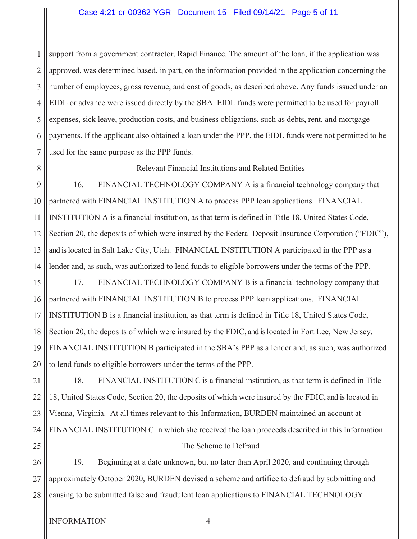#### Case 4:21-cr-00362-YGR Document 15 Filed 09/14/21 Page 5 of 11

1 2 3 4 5 6 support from a government contractor, Rapid Finance. The amount of the loan, if the application was approved, was determined based, in part, on the information provided in the application concerning the number of employees, gross revenue, and cost of goods, as described above. Any funds issued under an EIDL or advance were issued directly by the SBA. EIDL funds were permitted to be used for payroll expenses, sick leave, production costs, and business obligations, such as debts, rent, and mortgage payments. If the applicant also obtained a loan under the PPP, the EIDL funds were not permitted to be used for the same purpose as the PPP funds.

25

#### Relevant Financial Institutions and Related Entities

16. FINANCIAL TECHNOLOGY COMPANY A is a financial technology company that partnered with FINANCIAL INSTITUTION A to process PPP loan applications. FINANCIAL INSTITUTION A is a financial institution, as that term is defined in Title 18, United States Code, Section 20, the deposits of which were insured by the Federal Deposit Insurance Corporation ("FDIC"), and is located in Salt Lake City, Utah. FINANCIAL INSTITUTION A participated in the PPP as a lender and, as such, was authorized to lend funds to eligible borrowers under the terms of the PPP.

18 19 20 17. FINANCIAL TECHNOLOGY COMPANY B is a financial technology company that partnered with FINANCIAL INSTITUTION B to process PPP loan applications. FINANCIAL INSTITUTION B is a financial institution, as that term is defined in Title 18, United States Code, Section 20, the deposits of which were insured by the FDIC, and is located in Fort Lee, New Jersey. FINANCIAL INSTITUTION B participated in the SBA's PPP as a lender and, as such, was authorized to lend funds to eligible borrowers under the terms of the PPP.

21 22 23 24 18. FINANCIAL INSTITUTION C is a financial institution, as that term is defined in Title 18, United States Code, Section 20, the deposits of which were insured by the FDIC, and is located in Vienna, Virginia. At all times relevant to this Information, BURDEN maintained an account at FINANCIAL INSTITUTION C in which she received the loan proceeds described in this Information.

#### The Scheme to Defraud

26 27 28 19. Beginning at a date unknown, but no later than April 2020, and continuing through approximately October 2020, BURDEN devised a scheme and artifice to defraud by submitting and causing to be submitted false and fraudulent loan applications to FINANCIAL TECHNOLOGY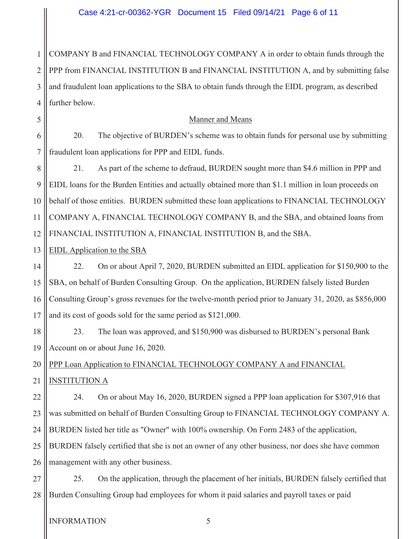1 2 3 4 COMPANY B and FINANCIAL TECHNOLOGY COMPANY A in order to obtain funds through the PPP from FINANCIAL INSTITUTION B and FINANCIAL INSTITUTION A, and by submitting false and fraudulent loan applications to the SBA to obtain funds through the EIDL program, as described further below.

#### Manner and Means

6 7 20. The objective of BURDEN's scheme was to obtain funds for personal use by submitting fraudulent loan applications for PPP and EIDL funds.

8 9 10 11 12 21. As part of the scheme to defraud, BURDEN sought more than \$4.6 million in PPP and EIDL loans for the Burden Entities and actually obtained more than \$1.1 million in loan proceeds on behalf of those entities. BURDEN submitted these loan applications to FINANCIAL TECHNOLOGY COMPANY A, FINANCIAL TECHNOLOGY COMPANY B, and the SBA, and obtained loans from FINANCIAL INSTITUTION A, FINANCIAL INSTITUTION B, and the SBA.

#### 13 EIDL Application to the SBA

5

14 15 16 17 22. On or about April 7, 2020, BURDEN submitted an EIDL application for \$150,900 to the SBA, on behalf of Burden Consulting Group. On the application, BURDEN falsely listed Burden Consulting Group's gross revenues for the twelve-month period prior to January 31, 2020, as \$856,000 and its cost of goods sold for the same period as \$121,000.

18 19 23. The loan was approved, and \$150,900 was disbursed to BURDEN's personal Bank Account on or about June 16, 2020.

20 21 PPP Loan Application to FINANCIAL TECHNOLOGY COMPANY A and FINANCIAL INSTITUTION A

22 23 24 25 26 24. On or about May 16, 2020, BURDEN signed a PPP loan application for \$307,916 that was submitted on behalf of Burden Consulting Group to FINANCIAL TECHNOLOGY COMPANY A. BURDEN listed her title as "Owner" with 100% ownership. On Form 2483 of the application, BURDEN falsely certified that she is not an owner of any other business, nor does she have common management with any other business.

27 28 25. On the application, through the placement of her initials, BURDEN falsely certified that Burden Consulting Group had employees for whom it paid salaries and payroll taxes or paid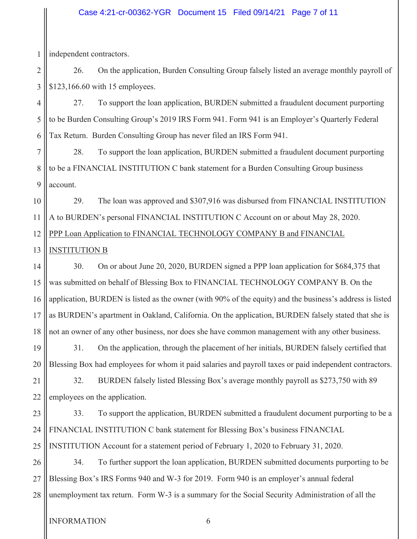#### Case 4:21-cr-00362-YGR Document 15 Filed 09/14/21 Page 7 of 11

1 independent contractors.

2 3 26. On the application, Burden Consulting Group falsely listed an average monthly payroll of \$123,166.60 with 15 employees.

4 5 6 27. To support the loan application, BURDEN submitted a fraudulent document purporting to be Burden Consulting Group's 2019 IRS Form 941. Form 941 is an Employer's Quarterly Federal Tax Return. Burden Consulting Group has never filed an IRS Form 941.

7 8 9 28. To support the loan application, BURDEN submitted a fraudulent document purporting to be a FINANCIAL INSTITUTION C bank statement for a Burden Consulting Group business account.

10 11 12 29. The loan was approved and \$307,916 was disbursed from FINANCIAL INSTITUTION A to BURDEN's personal FINANCIAL INSTITUTION C Account on or about May 28, 2020. PPP Loan Application to FINANCIAL TECHNOLOGY COMPANY B and FINANCIAL

#### 13 INSTITUTION B

14 15 16 17 18 30. On or about June 20, 2020, BURDEN signed a PPP loan application for \$684,375 that was submitted on behalf of Blessing Box to FINANCIAL TECHNOLOGY COMPANY B. On the application, BURDEN is listed as the owner (with 90% of the equity) and the business's address is listed as BURDEN's apartment in Oakland, California. On the application, BURDEN falsely stated that she is not an owner of any other business, nor does she have common management with any other business.

19 20 31. On the application, through the placement of her initials, BURDEN falsely certified that Blessing Box had employees for whom it paid salaries and payroll taxes or paid independent contractors.

21 22 32. BURDEN falsely listed Blessing Box's average monthly payroll as \$273,750 with 89 employees on the application.

23 24 25 33. To support the application, BURDEN submitted a fraudulent document purporting to be a FINANCIAL INSTITUTION C bank statement for Blessing Box's business FINANCIAL INSTITUTION Account for a statement period of February 1, 2020 to February 31, 2020.

26 27 28 34. To further support the loan application, BURDEN submitted documents purporting to be Blessing Box's IRS Forms 940 and W-3 for 2019. Form 940 is an employer's annual federal unemployment tax return. Form W-3 is a summary for the Social Security Administration of all the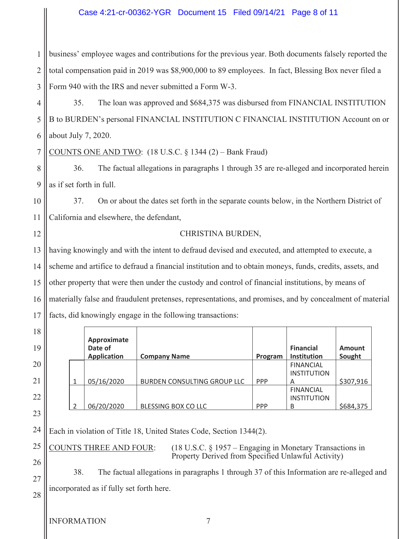#### Case 4:21-cr-00362-YGR Document 15 Filed 09/14/21 Page 8 of 11

1 2 3 business' employee wages and contributions for the previous year. Both documents falsely reported the total compensation paid in 2019 was \$8,900,000 to 89 employees. In fact, Blessing Box never filed a Form 940 with the IRS and never submitted a Form W-3.

4 5 6 35. The loan was approved and \$684,375 was disbursed from FINANCIAL INSTITUTION B to BURDEN's personal FINANCIAL INSTITUTION C FINANCIAL INSTITUTION Account on or about July 7, 2020.

7 COUNTS ONE AND TWO:  $(18$  U.S.C. § 1344  $(2)$  – Bank Fraud)

8 9 36. The factual allegations in paragraphs 1 through 35 are re-alleged and incorporated herein as if set forth in full.

10 11 37. On or about the dates set forth in the separate counts below, in the Northern District of California and elsewhere, the defendant,

#### CHRISTINA BURDEN,

13 14 15 16 17 having knowingly and with the intent to defraud devised and executed, and attempted to execute, a scheme and artifice to defraud a financial institution and to obtain moneys, funds, credits, assets, and other property that were then under the custody and control of financial institutions, by means of materially false and fraudulent pretenses, representations, and promises, and by concealment of material facts, did knowingly engage in the following transactions:

|  | Approximate<br>Date of<br><b>Application</b> | <b>Company Name</b>         | Program    | <b>Financial</b><br>Institution             | Amount<br>Sought |
|--|----------------------------------------------|-----------------------------|------------|---------------------------------------------|------------------|
|  | 05/16/2020                                   | BURDEN CONSULTING GROUP LLC | <b>PPP</b> | <b>FINANCIAL</b><br><b>INSTITUTION</b><br>A | \$307,916        |
|  | 06/20/2020                                   | BLESSING BOX CO LLC         | <b>PPP</b> | <b>FINANCIAL</b><br><b>INSTITUTION</b><br>B | \$684,375        |

24 Each in violation of Title 18, United States Code, Section 1344(2).

COUNTS THREE AND FOUR: (18 U.S.C. § 1957 – Engaging in Monetary Transactions in Property Derived from Specified Unlawful Activity)

38. The factual allegations in paragraphs 1 through 37 of this Information are re-alleged and incorporated as if fully set forth here.

12

18

19

20

21

22

23

25

26

27

28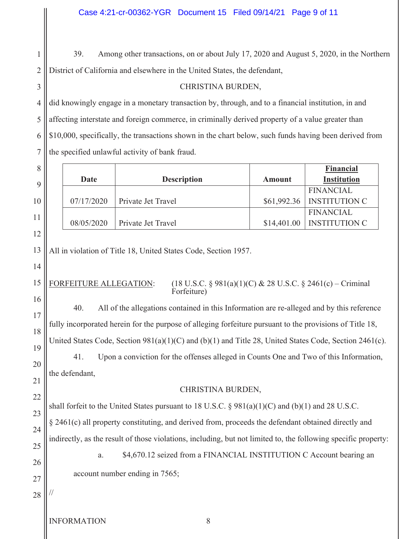1 2 39. Among other transactions, on or about July 17, 2020 and August 5, 2020, in the Northern District of California and elsewhere in the United States, the defendant,

### CHRISTINA BURDEN,

did knowingly engage in a monetary transaction by, through, and to a financial institution, in and affecting interstate and foreign commerce, in criminally derived property of a value greater than \$10,000, specifically, the transactions shown in the chart below, such funds having been derived from the specified unlawful activity of bank fraud.

|                                                                                                                |                                                                                           |               | <b>Financial</b>                         |
|----------------------------------------------------------------------------------------------------------------|-------------------------------------------------------------------------------------------|---------------|------------------------------------------|
| <b>Date</b>                                                                                                    | <b>Description</b>                                                                        | <b>Amount</b> | <b>Institution</b>                       |
|                                                                                                                |                                                                                           |               | <b>FINANCIAL</b>                         |
| 07/17/2020                                                                                                     | Private Jet Travel                                                                        | \$61,992.36   | <b>INSTITUTION C</b>                     |
| 08/05/2020                                                                                                     | Private Jet Travel                                                                        | \$14,401.00   | <b>FINANCIAL</b><br><b>INSTITUTION C</b> |
|                                                                                                                |                                                                                           |               |                                          |
|                                                                                                                |                                                                                           |               |                                          |
|                                                                                                                | All in violation of Title 18, United States Code, Section 1957.                           |               |                                          |
|                                                                                                                |                                                                                           |               |                                          |
| FORFEITURE ALLEGATION:                                                                                         | $(18 \text{ U.S.C. } § 981(a)(1)(C) & 28 \text{ U.S.C. } § 2461(c) - Criminal$            |               |                                          |
|                                                                                                                | Forfeiture)                                                                               |               |                                          |
| 40.                                                                                                            | All of the allegations contained in this Information are re-alleged and by this reference |               |                                          |
| fully incorporated herein for the purpose of alleging forfeiture pursuant to the provisions of Title 18,       |                                                                                           |               |                                          |
|                                                                                                                |                                                                                           |               |                                          |
| United States Code, Section 981(a)(1)(C) and (b)(1) and Title 28, United States Code, Section 2461(c).         |                                                                                           |               |                                          |
| Upon a conviction for the offenses alleged in Counts One and Two of this Information,<br>41.                   |                                                                                           |               |                                          |
| the defendant,                                                                                                 |                                                                                           |               |                                          |
|                                                                                                                | CHRISTINA BURDEN,                                                                         |               |                                          |
|                                                                                                                |                                                                                           |               |                                          |
| shall forfeit to the United States pursuant to 18 U.S.C. § $981(a)(1)(C)$ and (b)(1) and 28 U.S.C.             |                                                                                           |               |                                          |
| § 2461(c) all property constituting, and derived from, proceeds the defendant obtained directly and            |                                                                                           |               |                                          |
| indirectly, as the result of those violations, including, but not limited to, the following specific property: |                                                                                           |               |                                          |
| \$4,670.12 seized from a FINANCIAL INSTITUTION C Account bearing an                                            |                                                                                           |               |                                          |
| a.                                                                                                             |                                                                                           |               |                                          |
| account number ending in 7565;                                                                                 |                                                                                           |               |                                          |
|                                                                                                                |                                                                                           |               |                                          |
|                                                                                                                |                                                                                           |               |                                          |
|                                                                                                                |                                                                                           |               |                                          |

INFORMATION 8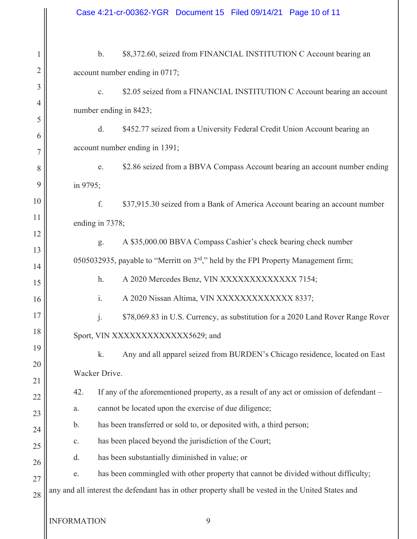$\mathbb{I}$ 

| 1                   | \$8,372.60, seized from FINANCIAL INSTITUTION C Account bearing an<br>$\mathbf{b}$ .              |  |  |  |
|---------------------|---------------------------------------------------------------------------------------------------|--|--|--|
| $\overline{2}$      | account number ending in 0717;                                                                    |  |  |  |
| 3                   | \$2.05 seized from a FINANCIAL INSTITUTION C Account bearing an account<br>c.                     |  |  |  |
| 4                   | number ending in 8423;                                                                            |  |  |  |
| 5                   | d.<br>\$452.77 seized from a University Federal Credit Union Account bearing an                   |  |  |  |
| 6                   | account number ending in 1391;                                                                    |  |  |  |
| $\overline{7}$<br>8 | \$2.86 seized from a BBVA Compass Account bearing an account number ending<br>e.                  |  |  |  |
| 9                   |                                                                                                   |  |  |  |
| 10                  | in 9795;                                                                                          |  |  |  |
| 11                  | f.<br>\$37,915.30 seized from a Bank of America Account bearing an account number                 |  |  |  |
| 12                  | ending in 7378;                                                                                   |  |  |  |
| 13                  | A \$35,000.00 BBVA Compass Cashier's check bearing check number<br>g.                             |  |  |  |
| 14                  | 0505032935, payable to "Merritt on $3rd$ ," held by the FPI Property Management firm;             |  |  |  |
| 15                  | A 2020 Mercedes Benz, VIN XXXXXXXXXXXX 7154;<br>h.                                                |  |  |  |
| 16                  | $\mathbf{i}$ .<br>A 2020 Nissan Altima, VIN XXXXXXXXXXXXX 8337;                                   |  |  |  |
| 17                  | j.<br>\$78,069.83 in U.S. Currency, as substitution for a 2020 Land Rover Range Rover             |  |  |  |
| 18                  | Sport, VIN XXXXXXXXXXXXX5629; and                                                                 |  |  |  |
| 19                  | k.<br>Any and all apparel seized from BURDEN's Chicago residence, located on East                 |  |  |  |
| 20                  | Wacker Drive.                                                                                     |  |  |  |
| 21                  | If any of the aforementioned property, as a result of any act or omission of defendant -<br>42.   |  |  |  |
| 22                  | cannot be located upon the exercise of due diligence;<br>a.                                       |  |  |  |
| 23                  | has been transferred or sold to, or deposited with, a third person;<br>b.                         |  |  |  |
| 24                  | has been placed beyond the jurisdiction of the Court;<br>$\mathbf{C}$ .                           |  |  |  |
| 25<br>26            | has been substantially diminished in value; or<br>d.                                              |  |  |  |
| 27                  | has been commingled with other property that cannot be divided without difficulty;<br>e.          |  |  |  |
| 28                  | any and all interest the defendant has in other property shall be vested in the United States and |  |  |  |
|                     |                                                                                                   |  |  |  |
|                     | <b>INFORMATION</b><br>9                                                                           |  |  |  |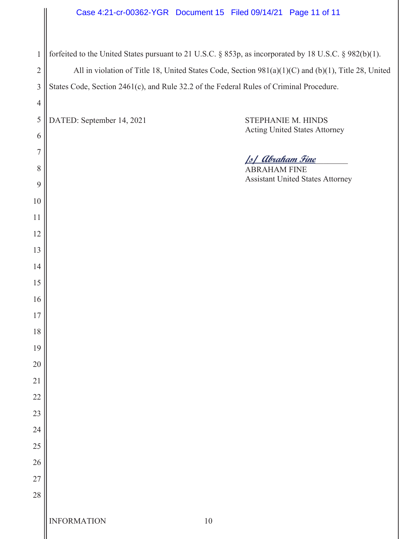# Case 4:21-cr-00362-YGR Document 15 Filed 09/14/21 Page 11 of 11

|                | Case 4:21-cr-00362-YGR  Document 15  Filed 09/14/21  Page 11 of 11                                     |
|----------------|--------------------------------------------------------------------------------------------------------|
| $\mathbf{1}$   | forfeited to the United States pursuant to 21 U.S.C. § 853p, as incorporated by 18 U.S.C. § 982(b)(1). |
| $\overline{2}$ | All in violation of Title 18, United States Code, Section 981(a)(1)(C) and (b)(1), Title 28, United    |
| $\mathfrak{Z}$ | States Code, Section 2461(c), and Rule 32.2 of the Federal Rules of Criminal Procedure.                |
| $\overline{4}$ |                                                                                                        |
| 5              | DATED: September 14, 2021<br>STEPHANIE M. HINDS                                                        |
| 6              | <b>Acting United States Attorney</b>                                                                   |
| $\overline{7}$ |                                                                                                        |
| 8              | <u>  s  Abraham Fine</u><br><b>ABRAHAM FINE</b>                                                        |
| 9              | <b>Assistant United States Attorney</b>                                                                |
| 10             |                                                                                                        |
| 11             |                                                                                                        |
| 12             |                                                                                                        |
| 13             |                                                                                                        |
| 14             |                                                                                                        |
| 15             |                                                                                                        |
| 16             |                                                                                                        |
| $17$           |                                                                                                        |
| 18             |                                                                                                        |
| 19             |                                                                                                        |
| 20             |                                                                                                        |
| 21             |                                                                                                        |
| 22             |                                                                                                        |
| 23             |                                                                                                        |
| 24             |                                                                                                        |
| 25             |                                                                                                        |
| 26             |                                                                                                        |
| 27             |                                                                                                        |
| 28             |                                                                                                        |
|                | <b>INFORMATION</b><br>$10\,$                                                                           |